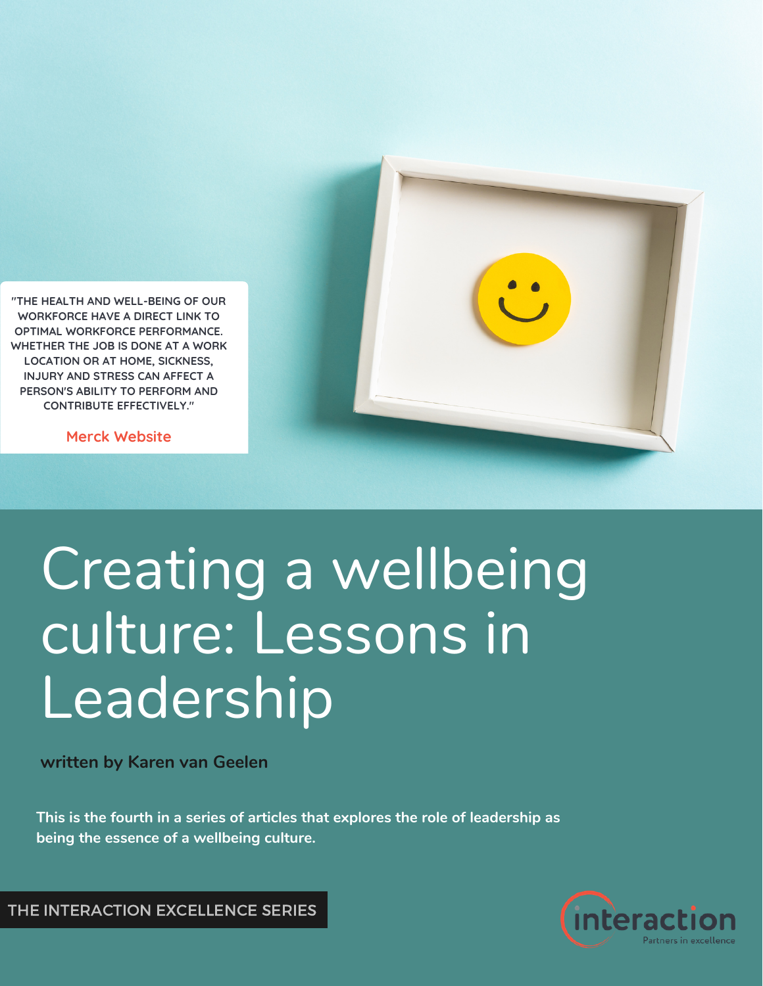

**"THE HEALTH AND WELL-BEING OF OUR WORKFORCE HAVE A DIRECT LINK TO OPTIMAL WORKFORCE PERFORMANCE. WHETHER THE JOB IS DONE AT A WORK LOCATION OR AT HOME, SICKNESS, INJURY AND STRESS CAN AFFECT A PERSON'S ABILITY TO PERFORM AND CONTRIBUTE EFFECTIVELY."**

**Merck Website**

## Creating a wellbeing culture: Lessons in Leadership

**written by Karen van Geelen**

**This is the fourth in a series of articles that explores the role of leadership as being the essence of a wellbeing culture.**



THE INTERACTION EXCELLENCE SERIES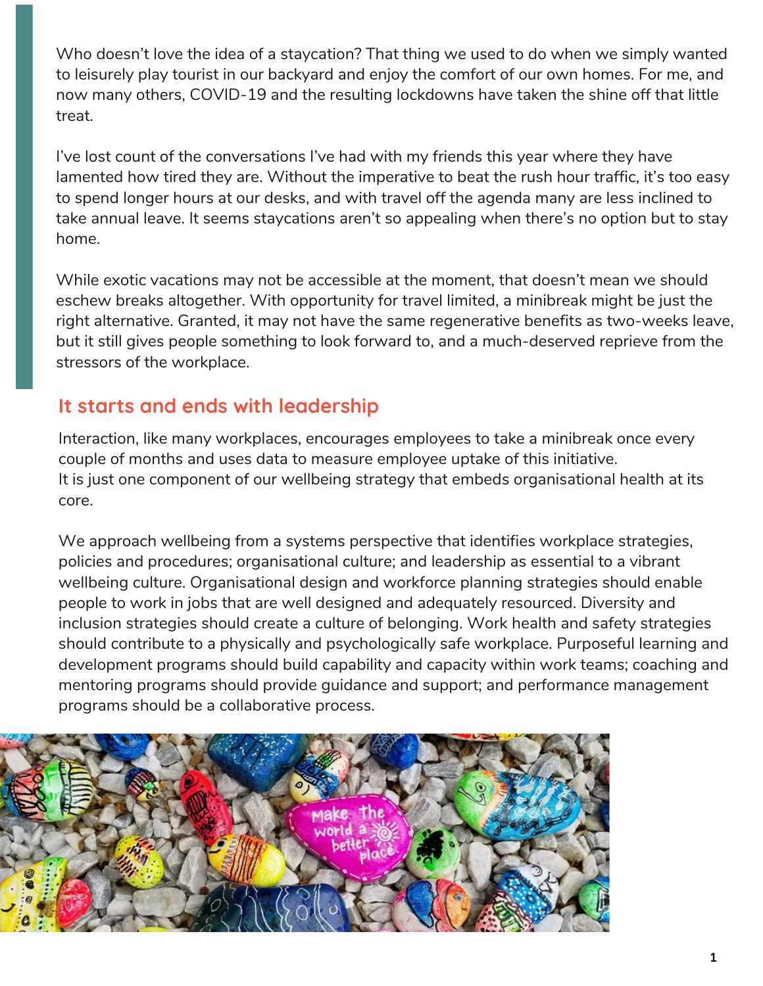Who doesn't love the idea of a staycation? That thing we used to do when we simply wanted to leisurely play tourist in our backyard and enjoy the comfort of our own homes. For me, and now many others, COVID-19 and the resulting lockdowns have taken the shine off that little treat.

I've lost count of the conversations I've had with my friends this year where they have lamented how tired they are. Without the imperative to beat the rush hour traffic, it's too easy to spend longer hours at our desks, and with travel off the agenda many are less inclined to take annual leave. It seems staycations aren't so appealing when there's no option but to stay home.

While exotic vacations may not be accessible at the moment, that doesn't mean we should eschew breaks altogether. With opportunity for travel limited, a minibreak might be just the right alternative. Granted, it may not have the same regenerative benefits as two-weeks leave, but it still gives people something to look forward to, and a much-deserved reprieve from the stressors of the workplace.

## **It starts and ends with leadership**

Interaction, like many workplaces, encourages employees to take a minibreak once every couple of months and uses data to measure employee uptake of this initiative. It is just one component of our wellbeing strategy that embeds organisational health at its core.

We approach wellbeing from a systems perspective that identifies workplace strategies, policies and procedures; organisational culture; and leadership as essential to a vibrant wellbeing culture. Organisational design and workforce planning strategies should enable people to work in jobs that are well designed and adequately resourced. Diversity and inclusion strategies should create a culture of belonging. Work health and safety strategies should contribute to a physically and psychologically safe workplace. Purposeful learning and development programs should build capability and capacity within work teams; coaching and mentoring programs should provide guidance and support; and performance management programs should be a collaborative process.

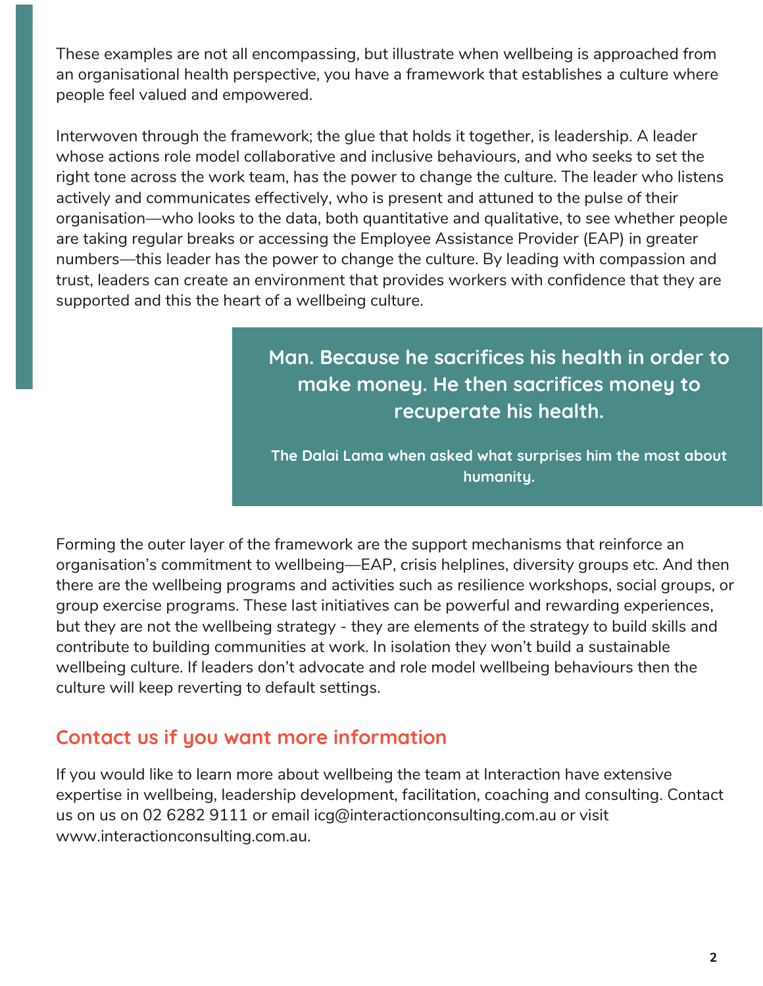These examples are not all encompassing, but illustrate when wellbeing is approached from an organisational health perspective, you have a framework that establishes a culture where people feel valued and empowered.

Interwoven through the framework; the glue that holds it together, is leadership. A leader whose actions role model collaborative and inclusive behaviours, and who seeks to set the right tone across the work team, has the power to change the culture. The leader who listens actively and communicates effectively, who is present and attuned to the pulse of their organisation—who looks to the data, both quantitative and qualitative, to see whether people are taking regular breaks or accessing the Employee Assistance Provider (EAP) in greater numbers—this leader has the power to change the culture. By leading with compassion and trust, leaders can create an environment that provides workers with confidence that they are supported and this the heart of a wellbeing culture.

## **Man. Because he sacrifices his health in order to make money. He then sacrifices money to recuperate his health.**

**The Dalai Lama when asked what surprises him the most about humanity.**

Forming the outer layer of the framework are the support mechanisms that reinforce an organisation's commitment to wellbeing—EAP, crisis helplines, diversity groups etc. And then there are the wellbeing programs and activities such as resilience workshops, social groups, or group exercise programs. These last initiatives can be powerful and rewarding experiences, but they are not the wellbeing strategy - they are elements of the strategy to build skills and contribute to building communities at work. In isolation they won't build a sustainable wellbeing culture. If leaders don't advocate and role model wellbeing behaviours then the culture will keep reverting to default settings.

## **Contact us if you want more information**

If you would like to learn more about wellbeing the team at Interaction have extensive expertise in wellbeing, leadership development, facilitation, coaching and consulting. Contact us on us on 02 6282 9111 or email icg@interactionconsulting.com.au or visit www.interactionconsulting.com.au.